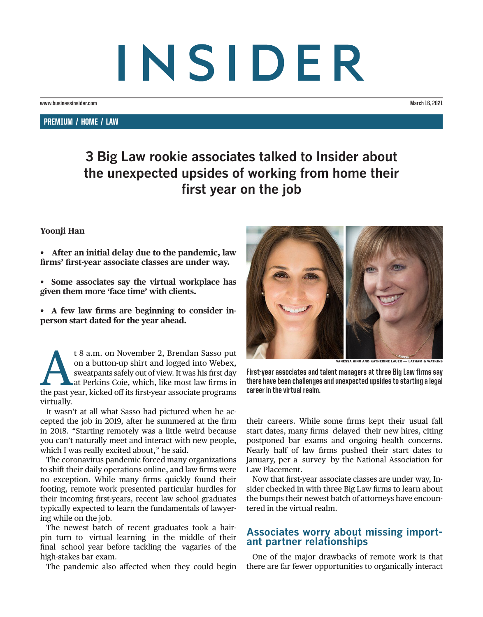# INSIDER

**www.businessinsider.com March 16, 2021**

PREMIUM / HOME / LAW

# **3 Big Law rookie associates talked to Insider about the unexpected upsides of working from home their first year on the job**

# **Yoonji Han**

• After an initial delay due to the pandemic, law **firms' first-year associate classes are under way.** 

• Some associates say the virtual workplace has **given them more 'face time' with clients.**

• A few law firms are beginning to consider in**person start dated for the year ahead.** 

t 8 a.m. on November 2, Brendan Sasso put<br>
on a button-up shirt and logged into Webex,<br>
sweatpants safely out of view. It was his first day<br>
at Perkins Coie, which, like most law firms in<br>
the past year, kicked off its fir on a button-up shirt and logged into Webex, sweatpants safely out of view. It was his first day at Perkins Coie, which, like most law firms in virtually.

It wasn't at all what Sasso had pictured when he accepted the job in 2019, after he summered at the firm in 2018. "Starting remotely was a little weird because you can't naturally meet and interact with new people, which I was really excited about," he said.

The coronavirus pandemic forced many organizations to shift their daily operations online, and law firms were no exception. While many firms quickly found their footing, remote work presented particular hurdles for their incoming first-years, recent law school graduates typically expected to learn the fundamentals of lawyering while on the job.

The newest batch of recent graduates took a hairpin turn to virtual learning in the middle of their final school year before tackling the vagaries of the high-stakes bar exam.

The pandemic also affected when they could begin



**SA KING AND KATHERINE LAUER** 

**First-year associates and talent managers at three Big Law firms say there have been challenges and unexpected upsides to starting a legal career in the virtual realm.**

their careers. While some firms kept their usual fall start dates, many firms delayed their new hires, citing postponed bar exams and ongoing health concerns. Nearly half of law firms pushed their start dates to January, per a survey by the National Association for Law Placement.

Now that first-year associate classes are under way, Insider checked in with three Big Law firms to learn about the bumps their newest batch of attorneys have encountered in the virtual realm.

# **Associates worry about missing import- ant partner relationships**

One of the major drawbacks of remote work is that there are far fewer opportunities to organically interact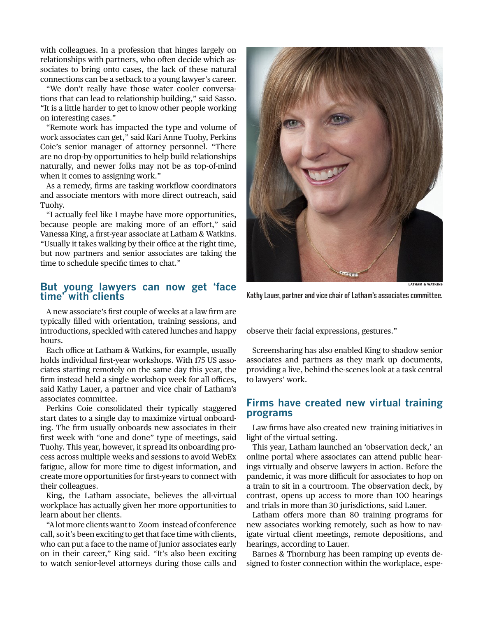with colleagues. In a profession that hinges largely on relationships with partners, who often decide which associates to bring onto cases, the lack of these natural connections can be a setback to a young lawyer's career.

"We don't really have those water cooler conversations that can lead to relationship building," said Sasso. "It is a little harder to get to know other people working on interesting cases."

"Remote work has impacted the type and volume of work associates can get," said Kari Anne Tuohy, Perkins Coie's senior manager of attorney personnel. "There are no drop-by opportunities to help build relationships naturally, and newer folks may not be as top-of-mind when it comes to assigning work."

As a remedy, firms are tasking workflow coordinators and associate mentors with more direct outreach, said Tuohy.

"I actually feel like I maybe have more opportunities, because people are making more of an effort," said Vanessa King, a first-year associate at Latham & Watkins. "Usually it takes walking by their office at the right time, but now partners and senior associates are taking the time to schedule specific times to chat."

## **But young lawyers can now get 'face time' with clients**

A new associate's first couple of weeks at a law firm are typically filled with orientation, training sessions, and introductions, speckled with catered lunches and happy hours.

Each office at Latham & Watkins, for example, usually holds individual first-year workshops. With 175 US associates starting remotely on the same day this year, the firm instead held a single workshop week for all offices, said Kathy Lauer, a partner and vice chair of Latham's associates committee.

Perkins Coie consolidated their typically staggered start dates to a single day to maximize virtual onboarding. The firm usually onboards new associates in their first week with "one and done" type of meetings, said Tuohy. This year, however, it spread its onboarding process across multiple weeks and sessions to avoid WebEx fatigue, allow for more time to digest information, and create more opportunities for first-years to connect with their colleagues.

King, the Latham associate, believes the all-virtual workplace has actually given her more opportunities to learn about her clients.

"A lot more clients want to Zoom instead of conference call, so it's been exciting to get that face time with clients, who can put a face to the name of junior associates early on in their career," King said. "It's also been exciting to watch senior-level attorneys during those calls and



LATHAM & WATKINS

**Kathy Lauer, partner and vice chair of Latham's associates committee.**

observe their facial expressions, gestures."

Screensharing has also enabled King to shadow senior associates and partners as they mark up documents, providing a live, behind-the-scenes look at a task central to lawyers' work.

## **Firms have created new virtual training programs**

Law firms have also created new training initiatives in light of the virtual setting.

This year, Latham launched an 'observation deck,' an online portal where associates can attend public hearings virtually and observe lawyers in action. Before the pandemic, it was more difficult for associates to hop on a train to sit in a courtroom. The observation deck, by contrast, opens up access to more than 100 hearings and trials in more than 30 jurisdictions, said Lauer.

Latham offers more than 80 training programs for new associates working remotely, such as how to navigate virtual client meetings, remote depositions, and hearings, according to Lauer.

Barnes & Thornburg has been ramping up events designed to foster connection within the workplace, espe-